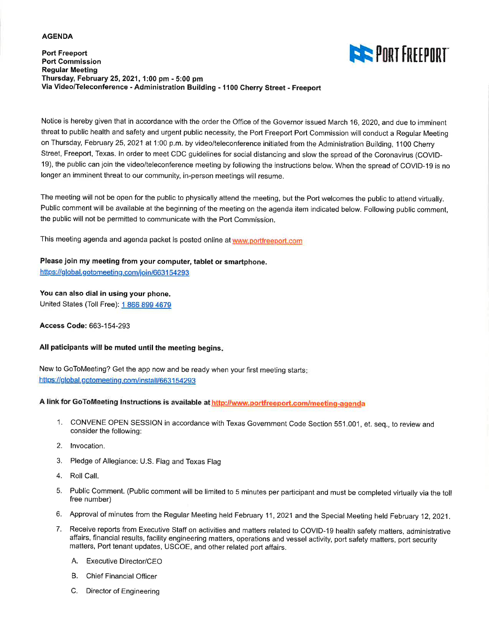#### **AGENDA**

#### **Port Freeport Port Commission Regular Meeting** Thursday, February 25, 2021, 1:00 pm - 5:00 pm Via Video/Teleconference - Administration Building - 1100 Cherry Street - Freeport



Notice is hereby given that in accordance with the order the Office of the Governor issued March 16, 2020, and due to imminent threat to public health and safety and urgent public necessity, the Port Freeport Port Commission will conduct a Regular Meeting on Thursday, February 25, 2021 at 1:00 p.m. by video/teleconference initiated from the Administration Building, 1100 Cherry Street, Freeport, Texas. In order to meet CDC guidelines for social distancing and slow the spread of the Coronavirus (COVID-19), the public can join the video/teleconference meeting by following the instructions below. When the spread of COVID-19 is no longer an imminent threat to our community, in-person meetings will resume.

The meeting will not be open for the public to physically attend the meeting, but the Port welcomes the public to attend virtually. Public comment will be available at the beginning of the meeting on the agenda item indicated below. Following public comment, the public will not be permitted to communicate with the Port Commission.

This meeting agenda and agenda packet is posted online at www.portfreeport.com

# Please join my meeting from your computer, tablet or smartphone.

https://global.gotomeeting.com/join/663154293

#### You can also dial in using your phone.

United States (Toll Free): 1 866 899 4679

Access Code: 663-154-293

#### All paticipants will be muted until the meeting begins.

New to GoToMeeting? Get the app now and be ready when your first meeting starts: https://global.gotomeeting.com/install/663154293

### A link for GoToMeeting Instructions is available at http://www.portfreeport.com/meeting-agenda

- 1. CONVENE OPEN SESSION in accordance with Texas Government Code Section 551.001, et. seq., to review and consider the following:
- 2. Invocation.
- 3. Pledge of Allegiance: U.S. Flag and Texas Flag
- 4. Roll Call.
- 5. Public Comment. (Public comment will be limited to 5 minutes per participant and must be completed virtually via the toll free number)
- 6. Approval of minutes from the Regular Meeting held February 11, 2021 and the Special Meeting held February 12, 2021.
- Receive reports from Executive Staff on activities and matters related to COVID-19 health safety matters, administrative 7. affairs, financial results, facility engineering matters, operations and vessel activity, port safety matters, port security matters, Port tenant updates, USCOE, and other related port affairs.
	- A. Executive Director/CEO
	- B. Chief Financial Officer
	- C. Director of Engineering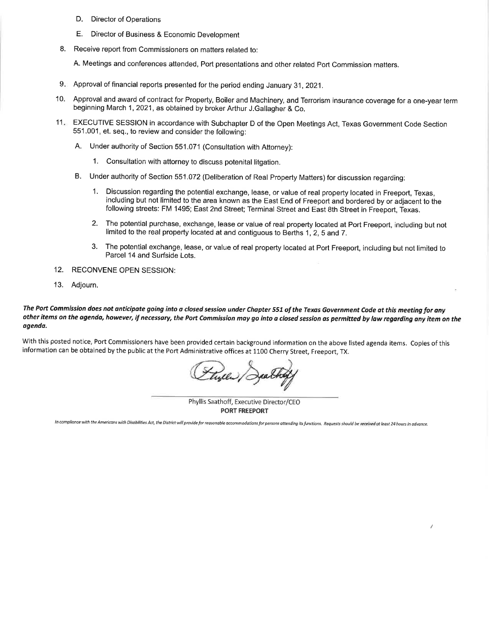- D. Director of Operations
- E. Director of Business & Economic Development
- Receive report from Commissioners on matters related to: 8.

A. Meetings and conferences attended, Port presentations and other related Port Commission matters.

- 9. Approval of financial reports presented for the period ending January 31, 2021.
- 10. Approval and award of contract for Property, Boiler and Machinery, and Terrorism insurance coverage for a one-year term beginning March 1, 2021, as obtained by broker Arthur J.Gallagher & Co.
- 11. EXECUTIVE SESSION in accordance with Subchapter D of the Open Meetings Act, Texas Government Code Section 551.001, et. seq., to review and consider the following:
	- A. Under authority of Section 551.071 (Consultation with Attorney):
		- 1. Consultation with attorney to discuss potenital litgation.
	- Under authority of Section 551.072 (Deliberation of Real Property Matters) for discussion regarding:  $\mathsf{R}$ 
		- 1. Discussion regarding the potential exchange, lease, or value of real property located in Freeport, Texas. including but not limited to the area known as the East End of Freeport and bordered by or adiacent to the following streets: FM 1495; East 2nd Street; Terminal Street and East 8th Street in Freeport, Texas.
		- $2.$ The potential purchase, exchange, lease or value of real property located at Port Freeport, including but not limited to the real property located at and contiguous to Berths 1, 2, 5 and 7.
		- $3.$ The potential exchange, lease, or value of real property located at Port Freeport, including but not limited to Parcel 14 and Surfside Lots.
- 12. RECONVENE OPEN SESSION:
- 13. Adjourn.

#### The Port Commission does not anticipate going into a closed session under Chapter 551 of the Texas Government Code at this meeting for any other items on the agenda, however, if necessary, the Port Commission may go into a closed session as permitted by law regarding any item on the agenda.

With this posted notice, Port Commissioners have been provided certain background information on the above listed agenda items. Copies of this information can be obtained by the public at the Port Administrative offices at 1100 Cherry Street, Freeport, TX.

(tyle) / Jea

Phyllis Saathoff, Executive Director/CEO **PORT FREEPORT** 

In compliance with the Americans with Disabilities Act, the District will provide for reasonable accommodations for persons attending its functions. Requests should be received at least 24 hours in advance.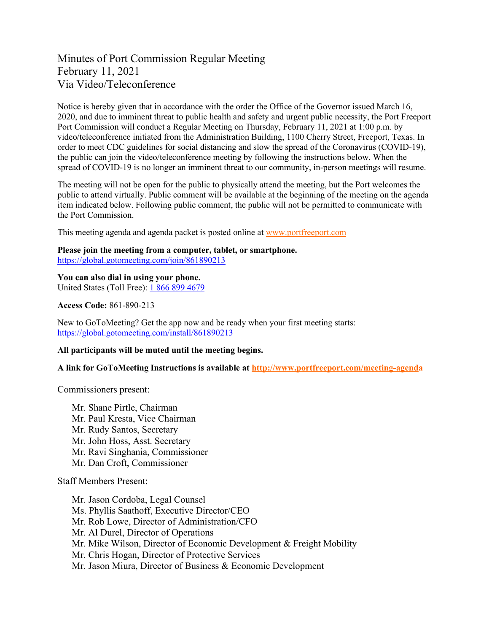# Minutes of Port Commission Regular Meeting February 11, 2021 Via Video/Teleconference

Notice is hereby given that in accordance with the order the Office of the Governor issued March 16, 2020, and due to imminent threat to public health and safety and urgent public necessity, the Port Freeport Port Commission will conduct a Regular Meeting on Thursday, February 11, 2021 at 1:00 p.m. by video/teleconference initiated from the Administration Building, 1100 Cherry Street, Freeport, Texas. In order to meet CDC guidelines for social distancing and slow the spread of the Coronavirus (COVID-19), the public can join the video/teleconference meeting by following the instructions below. When the spread of COVID-19 is no longer an imminent threat to our community, in-person meetings will resume.

The meeting will not be open for the public to physically attend the meeting, but the Port welcomes the public to attend virtually. Public comment will be available at the beginning of the meeting on the agenda item indicated below. Following public comment, the public will not be permitted to communicate with the Port Commission.

This meeting agenda and agenda packet is posted online at [www.portfreeport.com](http://www.portfreeport.com/)

**Please join the meeting from a computer, tablet, or smartphone.**  [https://global.gotomeeting.com/join/861890213](https://global.gotomeeting.com/join/210106181)

**You can also dial in using your phone.** United States (Toll Free): [1 866 899 4679](tel:+18668994679,,210106181)

**Access Code:** 861-890-213

New to GoToMeeting? Get the app now and be ready when your first meeting starts: <https://global.gotomeeting.com/install/861890213>

### **All participants will be muted until the meeting begins.**

**A link for GoToMeeting Instructions is available at<http://www.portfreeport.com/meeting-agenda>**

Commissioners present:

Mr. Shane Pirtle, Chairman Mr. Paul Kresta, Vice Chairman Mr. Rudy Santos, Secretary Mr. John Hoss, Asst. Secretary Mr. Ravi Singhania, Commissioner Mr. Dan Croft, Commissioner

Staff Members Present:

Mr. Jason Cordoba, Legal Counsel Ms. Phyllis Saathoff, Executive Director/CEO Mr. Rob Lowe, Director of Administration/CFO Mr. Al Durel, Director of Operations Mr. Mike Wilson, Director of Economic Development & Freight Mobility Mr. Chris Hogan, Director of Protective Services Mr. Jason Miura, Director of Business & Economic Development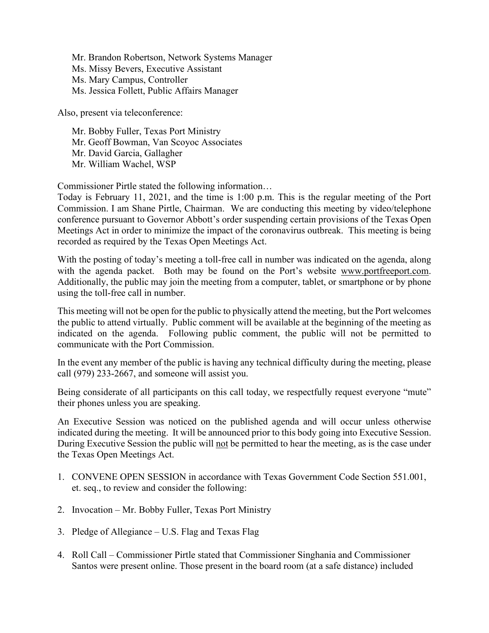Mr. Brandon Robertson, Network Systems Manager Ms. Missy Bevers, Executive Assistant Ms. Mary Campus, Controller Ms. Jessica Follett, Public Affairs Manager

Also, present via teleconference:

Mr. Bobby Fuller, Texas Port Ministry Mr. Geoff Bowman, Van Scoyoc Associates Mr. David Garcia, Gallagher Mr. William Wachel, WSP

Commissioner Pirtle stated the following information…

Today is February 11, 2021, and the time is 1:00 p.m. This is the regular meeting of the Port Commission. I am Shane Pirtle, Chairman. We are conducting this meeting by video/telephone conference pursuant to Governor Abbott's order suspending certain provisions of the Texas Open Meetings Act in order to minimize the impact of the coronavirus outbreak. This meeting is being recorded as required by the Texas Open Meetings Act.

With the posting of today's meeting a toll-free call in number was indicated on the agenda, along with the agenda packet. Both may be found on the Port's website [www.portfreeport.com.](http://www.portfreeport.com/) Additionally, the public may join the meeting from a computer, tablet, or smartphone or by phone using the toll-free call in number.

This meeting will not be open for the public to physically attend the meeting, but the Port welcomes the public to attend virtually. Public comment will be available at the beginning of the meeting as indicated on the agenda. Following public comment, the public will not be permitted to communicate with the Port Commission.

In the event any member of the public is having any technical difficulty during the meeting, please call (979) 233-2667, and someone will assist you.

Being considerate of all participants on this call today, we respectfully request everyone "mute" their phones unless you are speaking.

An Executive Session was noticed on the published agenda and will occur unless otherwise indicated during the meeting. It will be announced prior to this body going into Executive Session. During Executive Session the public will not be permitted to hear the meeting, as is the case under the Texas Open Meetings Act.

- 1. CONVENE OPEN SESSION in accordance with Texas Government Code Section 551.001, et. seq., to review and consider the following:
- 2. Invocation Mr. Bobby Fuller, Texas Port Ministry
- 3. Pledge of Allegiance U.S. Flag and Texas Flag
- 4. Roll Call Commissioner Pirtle stated that Commissioner Singhania and Commissioner Santos were present online. Those present in the board room (at a safe distance) included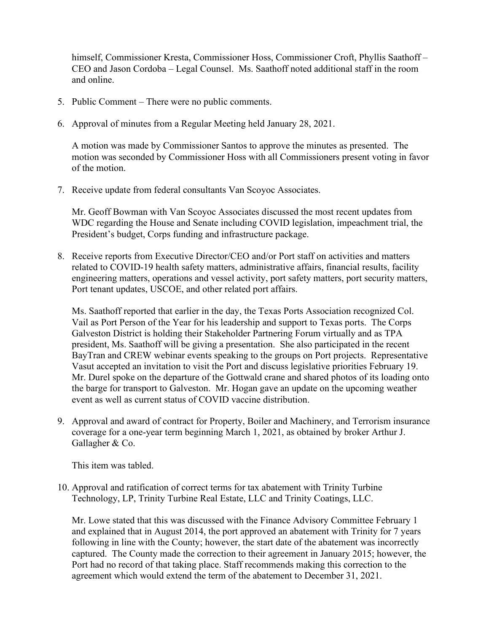himself, Commissioner Kresta, Commissioner Hoss, Commissioner Croft, Phyllis Saathoff – CEO and Jason Cordoba – Legal Counsel. Ms. Saathoff noted additional staff in the room and online.

- 5. Public Comment There were no public comments.
- 6. Approval of minutes from a Regular Meeting held January 28, 2021.

A motion was made by Commissioner Santos to approve the minutes as presented. The motion was seconded by Commissioner Hoss with all Commissioners present voting in favor of the motion.

7. Receive update from federal consultants Van Scoyoc Associates.

Mr. Geoff Bowman with Van Scoyoc Associates discussed the most recent updates from WDC regarding the House and Senate including COVID legislation, impeachment trial, the President's budget, Corps funding and infrastructure package.

8. Receive reports from Executive Director/CEO and/or Port staff on activities and matters related to COVID-19 health safety matters, administrative affairs, financial results, facility engineering matters, operations and vessel activity, port safety matters, port security matters, Port tenant updates, USCOE, and other related port affairs.

Ms. Saathoff reported that earlier in the day, the Texas Ports Association recognized Col. Vail as Port Person of the Year for his leadership and support to Texas ports. The Corps Galveston District is holding their Stakeholder Partnering Forum virtually and as TPA president, Ms. Saathoff will be giving a presentation. She also participated in the recent BayTran and CREW webinar events speaking to the groups on Port projects. Representative Vasut accepted an invitation to visit the Port and discuss legislative priorities February 19. Mr. Durel spoke on the departure of the Gottwald crane and shared photos of its loading onto the barge for transport to Galveston. Mr. Hogan gave an update on the upcoming weather event as well as current status of COVID vaccine distribution.

9. Approval and award of contract for Property, Boiler and Machinery, and Terrorism insurance coverage for a one-year term beginning March 1, 2021, as obtained by broker Arthur J. Gallagher & Co.

This item was tabled.

10. Approval and ratification of correct terms for tax abatement with Trinity Turbine Technology, LP, Trinity Turbine Real Estate, LLC and Trinity Coatings, LLC.

Mr. Lowe stated that this was discussed with the Finance Advisory Committee February 1 and explained that in August 2014, the port approved an abatement with Trinity for 7 years following in line with the County; however, the start date of the abatement was incorrectly captured. The County made the correction to their agreement in January 2015; however, the Port had no record of that taking place. Staff recommends making this correction to the agreement which would extend the term of the abatement to December 31, 2021.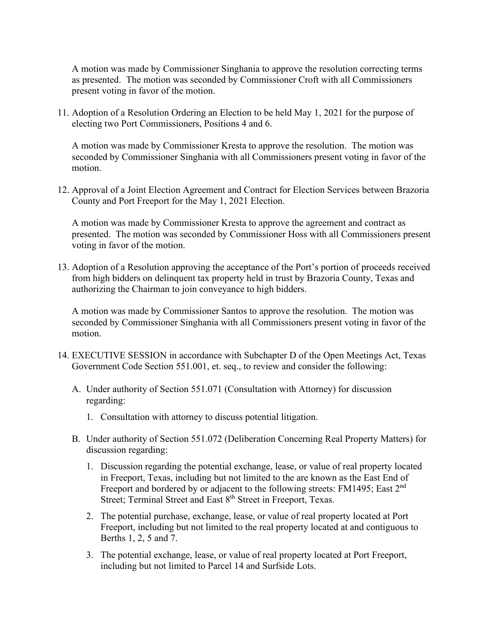A motion was made by Commissioner Singhania to approve the resolution correcting terms as presented. The motion was seconded by Commissioner Croft with all Commissioners present voting in favor of the motion.

11. Adoption of a Resolution Ordering an Election to be held May 1, 2021 for the purpose of electing two Port Commissioners, Positions 4 and 6.

A motion was made by Commissioner Kresta to approve the resolution. The motion was seconded by Commissioner Singhania with all Commissioners present voting in favor of the motion.

12. Approval of a Joint Election Agreement and Contract for Election Services between Brazoria County and Port Freeport for the May 1, 2021 Election.

A motion was made by Commissioner Kresta to approve the agreement and contract as presented. The motion was seconded by Commissioner Hoss with all Commissioners present voting in favor of the motion.

13. Adoption of a Resolution approving the acceptance of the Port's portion of proceeds received from high bidders on delinquent tax property held in trust by Brazoria County, Texas and authorizing the Chairman to join conveyance to high bidders.

A motion was made by Commissioner Santos to approve the resolution. The motion was seconded by Commissioner Singhania with all Commissioners present voting in favor of the motion.

- 14. EXECUTIVE SESSION in accordance with Subchapter D of the Open Meetings Act, Texas Government Code Section 551.001, et. seq., to review and consider the following:
	- A. Under authority of Section 551.071 (Consultation with Attorney) for discussion regarding:
		- 1. Consultation with attorney to discuss potential litigation.
	- B. Under authority of Section 551.072 (Deliberation Concerning Real Property Matters) for discussion regarding:
		- 1. Discussion regarding the potential exchange, lease, or value of real property located in Freeport, Texas, including but not limited to the are known as the East End of Freeport and bordered by or adjacent to the following streets: FM1495; East 2<sup>nd</sup> Street; Terminal Street and East 8<sup>th</sup> Street in Freeport, Texas.
		- 2. The potential purchase, exchange, lease, or value of real property located at Port Freeport, including but not limited to the real property located at and contiguous to Berths 1, 2, 5 and 7.
		- 3. The potential exchange, lease, or value of real property located at Port Freeport, including but not limited to Parcel 14 and Surfside Lots.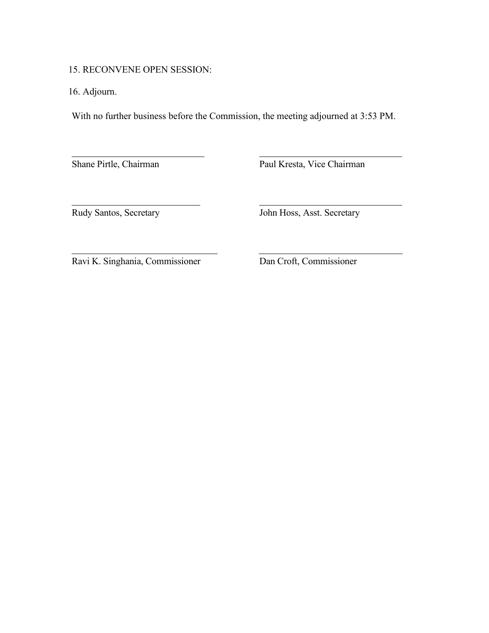15. RECONVENE OPEN SESSION:

 $\overline{a}$ 

16. Adjourn.

 $\overline{a}$ 

With no further business before the Commission, the meeting adjourned at 3:53 PM.

Shane Pirtle, Chairman Paul Kresta, Vice Chairman

 $\overline{a}$ 

Rudy Santos, Secretary John Hoss, Asst. Secretary

Ravi K. Singhania, Commissioner Dan Croft, Commissioner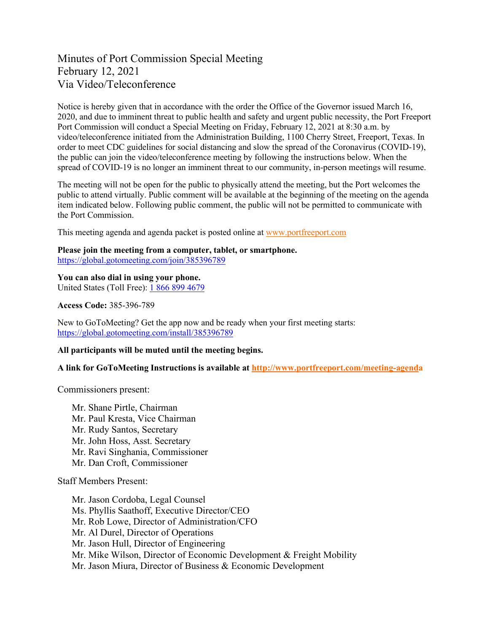# Minutes of Port Commission Special Meeting February 12, 2021 Via Video/Teleconference

Notice is hereby given that in accordance with the order the Office of the Governor issued March 16, 2020, and due to imminent threat to public health and safety and urgent public necessity, the Port Freeport Port Commission will conduct a Special Meeting on Friday, February 12, 2021 at 8:30 a.m. by video/teleconference initiated from the Administration Building, 1100 Cherry Street, Freeport, Texas. In order to meet CDC guidelines for social distancing and slow the spread of the Coronavirus (COVID-19), the public can join the video/teleconference meeting by following the instructions below. When the spread of COVID-19 is no longer an imminent threat to our community, in-person meetings will resume.

The meeting will not be open for the public to physically attend the meeting, but the Port welcomes the public to attend virtually. Public comment will be available at the beginning of the meeting on the agenda item indicated below. Following public comment, the public will not be permitted to communicate with the Port Commission.

This meeting agenda and agenda packet is posted online at [www.portfreeport.com](http://www.portfreeport.com/)

**Please join the meeting from a computer, tablet, or smartphone.**  <https://global.gotomeeting.com/join/385396789>

**You can also dial in using your phone.** United States (Toll Free): [1 866 899 4679](tel:+18668994679,,210106181)

**Access Code:** 385-396-789

New to GoToMeeting? Get the app now and be ready when your first meeting starts: <https://global.gotomeeting.com/install/385396789>

### **All participants will be muted until the meeting begins.**

**A link for GoToMeeting Instructions is available at<http://www.portfreeport.com/meeting-agenda>**

Commissioners present:

Mr. Shane Pirtle, Chairman Mr. Paul Kresta, Vice Chairman Mr. Rudy Santos, Secretary Mr. John Hoss, Asst. Secretary Mr. Ravi Singhania, Commissioner Mr. Dan Croft, Commissioner

Staff Members Present:

Mr. Jason Cordoba, Legal Counsel Ms. Phyllis Saathoff, Executive Director/CEO Mr. Rob Lowe, Director of Administration/CFO Mr. Al Durel, Director of Operations Mr. Jason Hull, Director of Engineering Mr. Mike Wilson, Director of Economic Development & Freight Mobility Mr. Jason Miura, Director of Business & Economic Development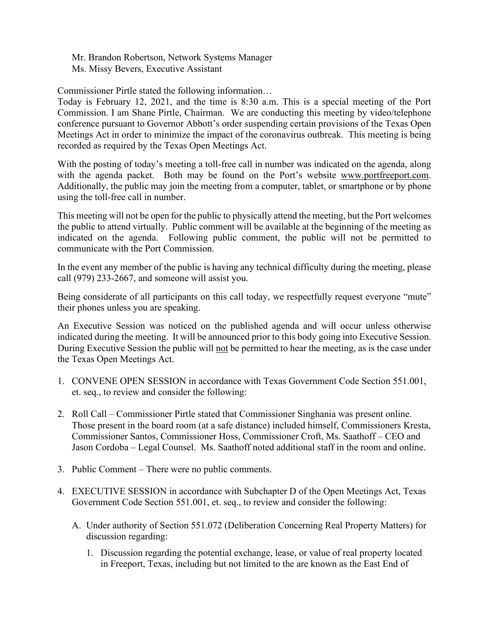Mr. Brandon Robertson, Network Systems Manager Ms. Missy Bevers, Executive Assistant

Commissioner Pirtle stated the following information…

Today is February 12, 2021, and the time is 8:30 a.m. This is a special meeting of the Port Commission. I am Shane Pirtle, Chairman. We are conducting this meeting by video/telephone conference pursuant to Governor Abbott's order suspending certain provisions of the Texas Open Meetings Act in order to minimize the impact of the coronavirus outbreak. This meeting is being recorded as required by the Texas Open Meetings Act.

With the posting of today's meeting a toll-free call in number was indicated on the agenda, along with the agenda packet. Both may be found on the Port's website [www.portfreeport.com.](http://www.portfreeport.com/) Additionally, the public may join the meeting from a computer, tablet, or smartphone or by phone using the toll-free call in number.

This meeting will not be open for the public to physically attend the meeting, but the Port welcomes the public to attend virtually. Public comment will be available at the beginning of the meeting as indicated on the agenda. Following public comment, the public will not be permitted to communicate with the Port Commission.

In the event any member of the public is having any technical difficulty during the meeting, please call (979) 233-2667, and someone will assist you.

Being considerate of all participants on this call today, we respectfully request everyone "mute" their phones unless you are speaking.

An Executive Session was noticed on the published agenda and will occur unless otherwise indicated during the meeting. It will be announced prior to this body going into Executive Session. During Executive Session the public will not be permitted to hear the meeting, as is the case under the Texas Open Meetings Act.

- 1. CONVENE OPEN SESSION in accordance with Texas Government Code Section 551.001, et. seq., to review and consider the following:
- 2. Roll Call Commissioner Pirtle stated that Commissioner Singhania was present online. Those present in the board room (at a safe distance) included himself, Commissioners Kresta, Commissioner Santos, Commissioner Hoss, Commissioner Croft, Ms. Saathoff – CEO and Jason Cordoba – Legal Counsel. Ms. Saathoff noted additional staff in the room and online.
- 3. Public Comment There were no public comments.
- 4. EXECUTIVE SESSION in accordance with Subchapter D of the Open Meetings Act, Texas Government Code Section 551.001, et. seq., to review and consider the following:
	- A. Under authority of Section 551.072 (Deliberation Concerning Real Property Matters) for discussion regarding:
		- 1. Discussion regarding the potential exchange, lease, or value of real property located in Freeport, Texas, including but not limited to the are known as the East End of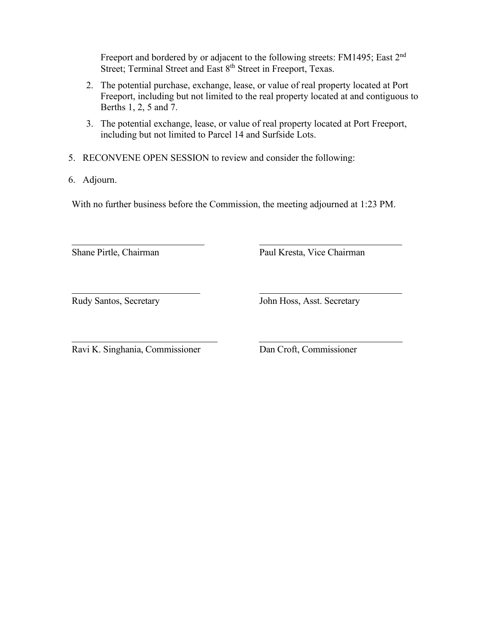Freeport and bordered by or adjacent to the following streets: FM1495; East 2<sup>nd</sup> Street; Terminal Street and East 8<sup>th</sup> Street in Freeport, Texas.

- 2. The potential purchase, exchange, lease, or value of real property located at Port Freeport, including but not limited to the real property located at and contiguous to Berths 1, 2, 5 and 7.
- 3. The potential exchange, lease, or value of real property located at Port Freeport, including but not limited to Parcel 14 and Surfside Lots.
- 5. RECONVENE OPEN SESSION to review and consider the following:
- 6. Adjourn.

 $\overline{a}$ 

With no further business before the Commission, the meeting adjourned at 1:23 PM.

Shane Pirtle, Chairman Paul Kresta, Vice Chairman

 $\overline{a}$ 

Rudy Santos, Secretary John Hoss, Asst. Secretary

Ravi K. Singhania, Commissioner Dan Croft, Commissioner

 $\overline{a}$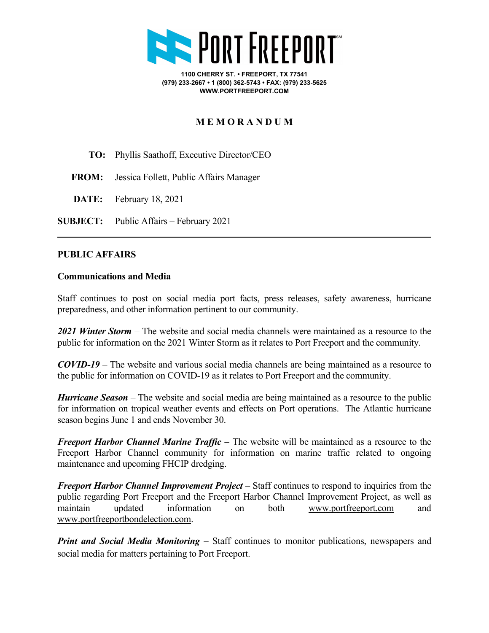

**1100 CHERRY ST. • FREEPORT, TX 77541 (979) 233-2667 • 1 (800) 362-5743 • FAX: (979) 233-5625 WWW.PORTFREEPORT.COM**

# **M E M O R A N D U M**

- **TO:** Phyllis Saathoff, Executive Director/CEO
- **FROM:** Jessica Follett, Public Affairs Manager
- **DATE:** February 18, 2021
- **SUBJECT:** Public Affairs February 2021

# **PUBLIC AFFAIRS**

## **Communications and Media**

Staff continues to post on social media port facts, press releases, safety awareness, hurricane preparedness, and other information pertinent to our community.

*2021 Winter Storm* – The website and social media channels were maintained as a resource to the public for information on the 2021 Winter Storm as it relates to Port Freeport and the community.

*COVID-19 –* The website and various social media channels are being maintained as a resource to the public for information on COVID-19 as it relates to Port Freeport and the community.

*Hurricane Season* – The website and social media are being maintained as a resource to the public for information on tropical weather events and effects on Port operations. The Atlantic hurricane season begins June 1 and ends November 30.

*Freeport Harbor Channel Marine Traffic* – The website will be maintained as a resource to the Freeport Harbor Channel community for information on marine traffic related to ongoing maintenance and upcoming FHCIP dredging.

*Freeport Harbor Channel Improvement Project* – Staff continues to respond to inquiries from the public regarding Port Freeport and the Freeport Harbor Channel Improvement Project, as well as maintain updated information on both [www.portfreeport.com](http://www.portfreeport.com/) and [www.portfreeportbondelection.com.](http://www.portfreeportbondelection.com/)

*Print and Social Media Monitoring* – Staff continues to monitor publications, newspapers and social media for matters pertaining to Port Freeport.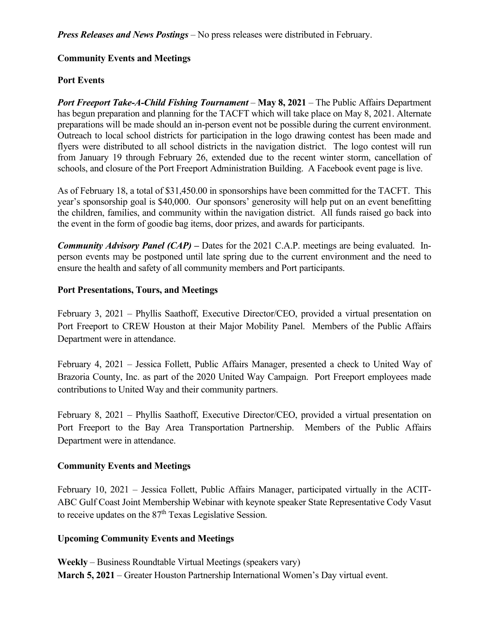*Press Releases and News Postings* – No press releases were distributed in February.

# **Community Events and Meetings**

# **Port Events**

*Port Freeport Take-A-Child Fishing Tournament* – **May 8, 2021** – The Public Affairs Department has begun preparation and planning for the TACFT which will take place on May 8, 2021. Alternate preparations will be made should an in-person event not be possible during the current environment. Outreach to local school districts for participation in the logo drawing contest has been made and flyers were distributed to all school districts in the navigation district. The logo contest will run from January 19 through February 26, extended due to the recent winter storm, cancellation of schools, and closure of the Port Freeport Administration Building. A Facebook event page is live.

As of February 18, a total of \$31,450.00 in sponsorships have been committed for the TACFT. This year's sponsorship goal is \$40,000. Our sponsors' generosity will help put on an event benefitting the children, families, and community within the navigation district. All funds raised go back into the event in the form of goodie bag items, door prizes, and awards for participants.

*Community Advisory Panel (CAP)* **–** Dates for the 2021 C.A.P. meetings are being evaluated. Inperson events may be postponed until late spring due to the current environment and the need to ensure the health and safety of all community members and Port participants.

# **Port Presentations, Tours, and Meetings**

February 3, 2021 – Phyllis Saathoff, Executive Director/CEO, provided a virtual presentation on Port Freeport to CREW Houston at their Major Mobility Panel. Members of the Public Affairs Department were in attendance.

February 4, 2021 – Jessica Follett, Public Affairs Manager, presented a check to United Way of Brazoria County, Inc. as part of the 2020 United Way Campaign. Port Freeport employees made contributions to United Way and their community partners.

February 8, 2021 – Phyllis Saathoff, Executive Director/CEO, provided a virtual presentation on Port Freeport to the Bay Area Transportation Partnership. Members of the Public Affairs Department were in attendance.

## **Community Events and Meetings**

February 10, 2021 – Jessica Follett, Public Affairs Manager, participated virtually in the ACIT-ABC Gulf Coast Joint Membership Webinar with keynote speaker State Representative Cody Vasut to receive updates on the  $87<sup>th</sup>$  Texas Legislative Session.

# **Upcoming Community Events and Meetings**

**Weekly** – Business Roundtable Virtual Meetings (speakers vary) **March 5, 2021** – Greater Houston Partnership International Women's Day virtual event.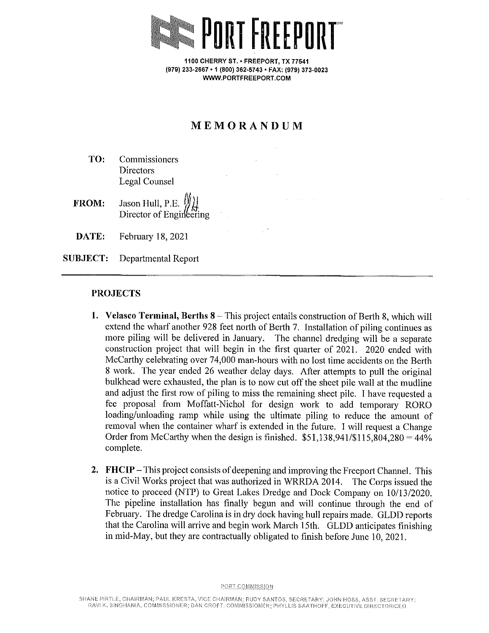

1100 CHERRY ST. • FREEPORT, TX 77541 (979) 233-2667 · 1 (800) 362-5743 · FAX: (979) 373-0023 WWW.PORTFREEPORT.COM

# MEMORANDUM

TO: Commissioners **Directors Legal Counsel** 

Jason Hull, P.E.  $\mathbb{Z}$ FROM: Director of Engineering

DATE: February 18, 2021

**SUBJECT:** Departmental Report

# **PROJECTS**

- 1. Velasco Terminal, Berths 8 This project entails construction of Berth 8, which will extend the wharf another 928 feet north of Berth 7. Installation of piling continues as more piling will be delivered in January. The channel dredging will be a separate construction project that will begin in the first quarter of 2021. 2020 ended with McCarthy celebrating over 74,000 man-hours with no lost time accidents on the Berth 8 work. The year ended 26 weather delay days. After attempts to pull the original bulkhead were exhausted, the plan is to now cut off the sheet pile wall at the mudline and adjust the first row of piling to miss the remaining sheet pile. I have requested a fee proposal from Moffatt-Nichol for design work to add temporary RORO loading/unloading ramp while using the ultimate piling to reduce the amount of removal when the container wharf is extended in the future. I will request a Change Order from McCarthy when the design is finished.  $$51,138,941/\$115,804,280 = 44\%$ complete.
- 2. FHCIP This project consists of deepening and improving the Freeport Channel. This is a Civil Works project that was authorized in WRRDA 2014. The Corps issued the notice to proceed (NTP) to Great Lakes Dredge and Dock Company on 10/13/2020. The pipeline installation has finally begun and will continue through the end of February. The dredge Carolina is in dry dock having hull repairs made. GLDD reports that the Carolina will arrive and begin work March 15th. GLDD anticipates finishing in mid-May, but they are contractually obligated to finish before June 10, 2021.

PORT COMMISSION